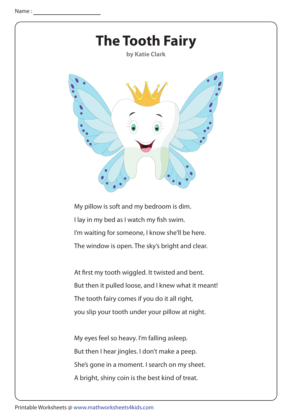

My pillow is soft and my bedroom is dim. I lay in my bed as I watch my fish swim. I'm waiting for someone, I know she'll be here. The window is open. The sky's bright and clear.

At first my tooth wiggled. It twisted and bent. But then it pulled loose, and I knew what it meant! The tooth fairy comes if you do it all right, you slip your tooth under your pillow at night.

My eyes feel so heavy. I'm falling asleep. But then I hear jingles. I don't make a peep. She's gone in a moment. I search on my sheet. A bright, shiny coin is the best kind of treat.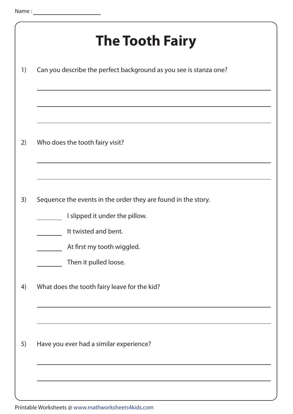|    | <b>The Tooth Fairy</b>                                            |
|----|-------------------------------------------------------------------|
| 1) | Can you describe the perfect background as you see is stanza one? |
|    |                                                                   |
| 2) | Who does the tooth fairy visit?                                   |
|    |                                                                   |
| 3) | Sequence the events in the order they are found in the story.     |
|    | I slipped it under the pillow.                                    |
|    | It twisted and bent.                                              |
|    | At first my tooth wiggled.                                        |
|    | Then it pulled loose.                                             |
| 4) | What does the tooth fairy leave for the kid?                      |
|    |                                                                   |
| 5) | Have you ever had a similar experience?                           |
|    |                                                                   |
|    |                                                                   |

Printable Worksheets @ www.mathworksheets4kids.com